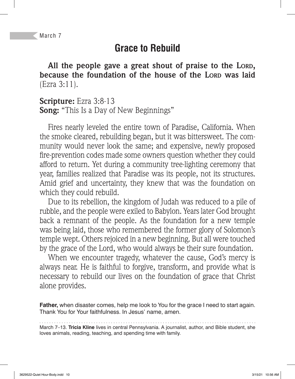## **Grace to Rebuild**

**All the people gave a great shout of praise to the LORD, because the foundation of the house of the LORD was laid**  (Ezra 3:11).

**Scripture:** Ezra 3:8-13 **Song:** "This Is a Day of New Beginnings"

Fires nearly leveled the entire town of Paradise, California. When the smoke cleared, rebuilding began, but it was bittersweet. The community would never look the same; and expensive, newly proposed fire-prevention codes made some owners question whether they could afford to return. Yet during a community tree-lighting ceremony that year, families realized that Paradise was its people, not its structures. Amid grief and uncertainty, they knew that was the foundation on which they could rebuild.

Due to its rebellion, the kingdom of Judah was reduced to a pile of rubble, and the people were exiled to Babylon. Years later God brought back a remnant of the people. As the foundation for a new temple was being laid, those who remembered the former glory of Solomon's temple wept. Others rejoiced in a new beginning. But all were touched by the grace of the Lord, who would always be their sure foundation.

When we encounter tragedy, whatever the cause, God's mercy is always near. He is faithful to forgive, transform, and provide what is necessary to rebuild our lives on the foundation of grace that Christ alone provides.

**Father,** when disaster comes, help me look to You for the grace I need to start again. Thank You for Your faithfulness. In Jesus' name, amen.

March 7–13. **Tricia Kline** lives in central Pennsylvania. A journalist, author, and Bible student, she loves animals, reading, teaching, and spending time with family.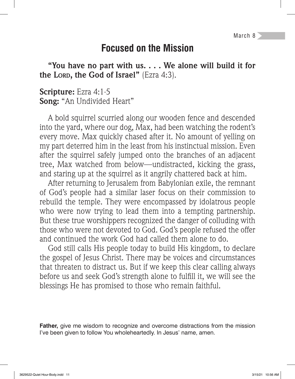March 8

### **Focused on the Mission**

**"You have no part with us. . . . We alone will build it for the LORD, the God of Israel"** (Ezra 4:3).

#### **Scripture:** Ezra 4:1-5 **Song:** "An Undivided Heart"

A bold squirrel scurried along our wooden fence and descended into the yard, where our dog, Max, had been watching the rodent's every move. Max quickly chased after it. No amount of yelling on my part deterred him in the least from his instinctual mission. Even after the squirrel safely jumped onto the branches of an adjacent tree, Max watched from below—undistracted, kicking the grass, and staring up at the squirrel as it angrily chattered back at him.

After returning to Jerusalem from Babylonian exile, the remnant of God's people had a similar laser focus on their commission to rebuild the temple. They were encompassed by idolatrous people who were now trying to lead them into a tempting partnership. But these true worshippers recognized the danger of colluding with those who were not devoted to God. God's people refused the offer and continued the work God had called them alone to do.

God still calls His people today to build His kingdom, to declare the gospel of Jesus Christ. There may be voices and circumstances that threaten to distract us. But if we keep this clear calling always before us and seek God's strength alone to fulfill it, we will see the blessings He has promised to those who remain faithful.

**Father,** give me wisdom to recognize and overcome distractions from the mission I've been given to follow You wholeheartedly. In Jesus' name, amen.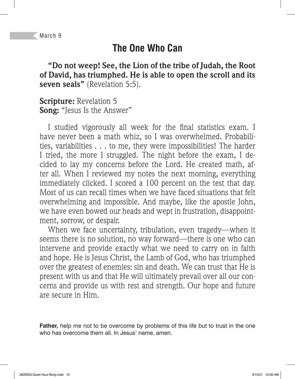## **The One Who Can**

**"Do not weep! See, the Lion of the tribe of Judah, the Root of David, has triumphed. He is able to open the scroll and its seven seals"** (Revelation 5:5).

**Scripture:** Revelation 5 **Song:** "Jesus Is the Answer"

I studied vigorously all week for the final statistics exam. I have never been a math whiz, so I was overwhelmed. Probabilities, variabilities . . . to me, they were impossibilities! The harder I tried, the more I struggled. The night before the exam, I decided to lay my concerns before the Lord. He created math, after all. When I reviewed my notes the next morning, everything immediately clicked. I scored a 100 percent on the test that day. Most of us can recall times when we have faced situations that felt overwhelming and impossible. And maybe, like the apostle John, we have even bowed our heads and wept in frustration, disappointment, sorrow, or despair.

When we face uncertainty, tribulation, even tragedy—when it seems there is no solution, no way forward—there is one who can intervene and provide exactly what we need to carry on in faith and hope. He is Jesus Christ, the Lamb of God, who has triumphed over the greatest of enemies: sin and death. We can trust that He is present with us and that He will ultimately prevail over all our concerns and provide us with rest and strength. Our hope and future are secure in Him.

**Father,** help me not to be overcome by problems of this life but to trust in the one who has overcome them all. In Jesus' name, amen.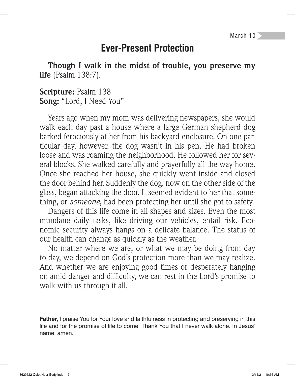March 10

### **Ever-Present Protection**

**Though I walk in the midst of trouble, you preserve my life** (Psalm 138:7).

#### **Scripture:** Psalm 138 **Song:** "Lord, I Need You"

Years ago when my mom was delivering newspapers, she would walk each day past a house where a large German shepherd dog barked ferociously at her from his backyard enclosure. On one particular day, however, the dog wasn't in his pen. He had broken loose and was roaming the neighborhood. He followed her for several blocks. She walked carefully and prayerfully all the way home. Once she reached her house, she quickly went inside and closed the door behind her. Suddenly the dog, now on the other side of the glass, began attacking the door. It seemed evident to her that something, or *someone*, had been protecting her until she got to safety.

Dangers of this life come in all shapes and sizes. Even the most mundane daily tasks, like driving our vehicles, entail risk. Economic security always hangs on a delicate balance. The status of our health can change as quickly as the weather.

No matter where we are, or what we may be doing from day to day, we depend on God's protection more than we may realize. And whether we are enjoying good times or desperately hanging on amid danger and difficulty, we can rest in the Lord's promise to walk with us through it all.

**Father,** I praise You for Your love and faithfulness in protecting and preserving in this life and for the promise of life to come. Thank You that I never walk alone. In Jesus' name, amen.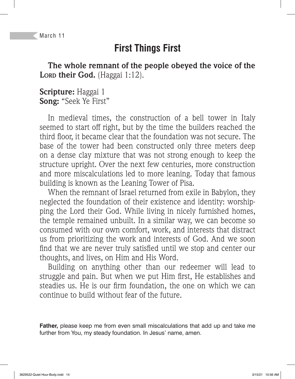# **First Things First**

**The whole remnant of the people obeyed the voice of the**  Lorp their God. (Haggai 1:12).

**Scripture:** Haggai 1 **Song:** "Seek Ye First"

In medieval times, the construction of a bell tower in Italy seemed to start off right, but by the time the builders reached the third floor, it became clear that the foundation was not secure. The base of the tower had been constructed only three meters deep on a dense clay mixture that was not strong enough to keep the structure upright. Over the next few centuries, more construction and more miscalculations led to more leaning. Today that famous building is known as the Leaning Tower of Pisa.

When the remnant of Israel returned from exile in Babylon, they neglected the foundation of their existence and identity: worshipping the Lord their God. While living in nicely furnished homes, the temple remained unbuilt. In a similar way, we can become so consumed with our own comfort, work, and interests that distract us from prioritizing the work and interests of God. And we soon find that we are never truly satisfied until we stop and center our thoughts, and lives, on Him and His Word.

Building on anything other than our redeemer will lead to struggle and pain. But when we put Him first, He establishes and steadies us. He is our firm foundation, the one on which we can continue to build without fear of the future.

**Father,** please keep me from even small miscalculations that add up and take me further from You, my steady foundation. In Jesus' name, amen.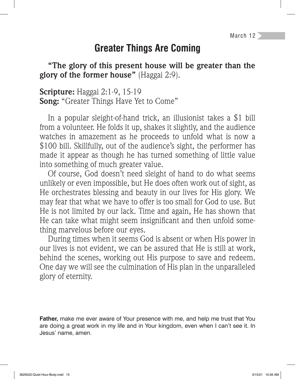### **Greater Things Are Coming**

**"The glory of this present house will be greater than the glory of the former house"** (Haggai 2:9).

**Scripture:** Haggai 2:1-9, 15-19 **Song:** "Greater Things Have Yet to Come"

In a popular sleight-of-hand trick, an illusionist takes a \$1 bill from a volunteer. He folds it up, shakes it slightly, and the audience watches in amazement as he proceeds to unfold what is now a \$100 bill. Skillfully, out of the audience's sight, the performer has made it appear as though he has turned something of little value into something of much greater value.

Of course, God doesn't need sleight of hand to do what seems unlikely or even impossible, but He does often work out of sight, as He orchestrates blessing and beauty in our lives for His glory. We may fear that what we have to offer is too small for God to use. But He is not limited by our lack. Time and again, He has shown that He can take what might seem insignificant and then unfold something marvelous before our eyes.

During times when it seems God is absent or when His power in our lives is not evident, we can be assured that He is still at work, behind the scenes, working out His purpose to save and redeem. One day we will see the culmination of His plan in the unparalleled glory of eternity.

**Father,** make me ever aware of Your presence with me, and help me trust that You are doing a great work in my life and in Your kingdom, even when I can't see it. In Jesus' name, amen.